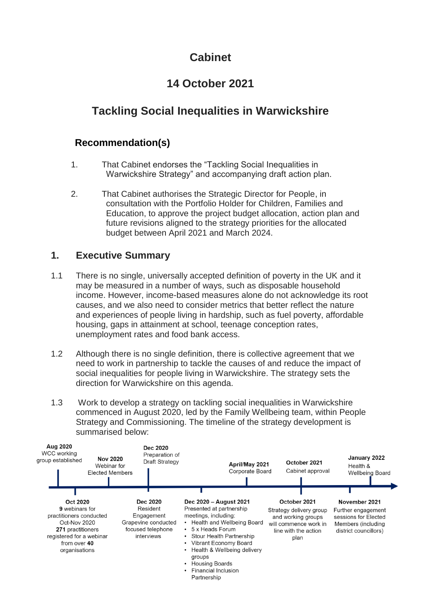# **Cabinet**

# **14 October 2021**

# **Tackling Social Inequalities in Warwickshire**

# **Recommendation(s)**

- 1. That Cabinet endorses the "Tackling Social Inequalities in Warwickshire Strategy" and accompanying draft action plan.
- 2. That Cabinet authorises the Strategic Director for People, in consultation with the Portfolio Holder for Children, Families and Education, to approve the project budget allocation, action plan and future revisions aligned to the strategy priorities for the allocated budget between April 2021 and March 2024.

### **1. Executive Summary**

- 1.1 There is no single, universally accepted definition of poverty in the UK and it may be measured in a number of ways, such as disposable household income. However, income-based measures alone do not acknowledge its root causes, and we also need to consider metrics that better reflect the nature and experiences of people living in hardship, such as fuel poverty, affordable housing, gaps in attainment at school, teenage conception rates, unemployment rates and food bank access.
- 1.2 Although there is no single definition, there is collective agreement that we need to work in partnership to tackle the causes of and reduce the impact of social inequalities for people living in Warwickshire. The strategy sets the direction for Warwickshire on this agenda.
- 1.3 Work to develop a strategy on tackling social inequalities in Warwickshire commenced in August 2020, led by the Family Wellbeing team, within People Strategy and Commissioning. The timeline of the strategy development is summarised below:

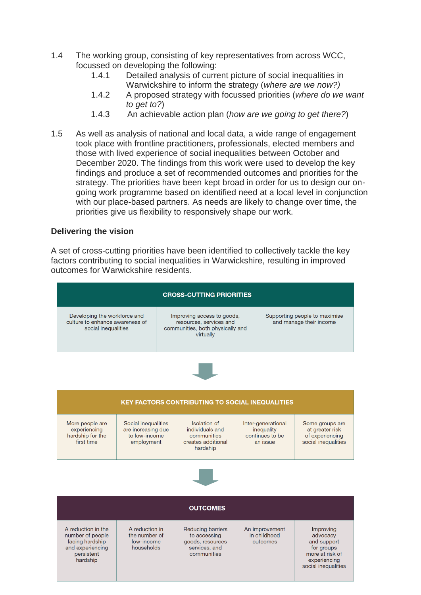- 1.4 The working group, consisting of key representatives from across WCC, focussed on developing the following:
	- 1.4.1 Detailed analysis of current picture of social inequalities in Warwickshire to inform the strategy (*where are we now?)*
	- 1.4.2 A proposed strategy with focussed priorities (*where do we want to get to?*)
	- 1.4.3 An achievable action plan (*how are we going to get there?*)
- 1.5 As well as analysis of national and local data, a wide range of engagement took place with frontline practitioners, professionals, elected members and those with lived experience of social inequalities between October and December 2020. The findings from this work were used to develop the key findings and produce a set of recommended outcomes and priorities for the strategy. The priorities have been kept broad in order for us to design our ongoing work programme based on identified need at a local level in conjunction with our place-based partners. As needs are likely to change over time, the priorities give us flexibility to responsively shape our work.

#### **Delivering the vision**

A set of cross-cutting priorities have been identified to collectively tackle the key factors contributing to social inequalities in Warwickshire, resulting in improved outcomes for Warwickshire residents.

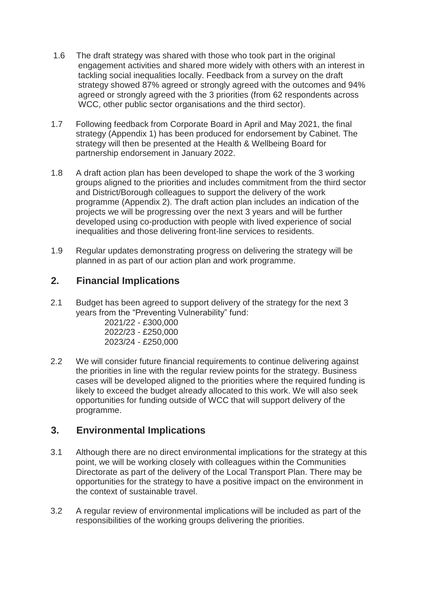- 1.6 The draft strategy was shared with those who took part in the original engagement activities and shared more widely with others with an interest in tackling social inequalities locally. Feedback from a survey on the draft strategy showed 87% agreed or strongly agreed with the outcomes and 94% agreed or strongly agreed with the 3 priorities (from 62 respondents across WCC, other public sector organisations and the third sector).
- 1.7 Following feedback from Corporate Board in April and May 2021, the final strategy (Appendix 1) has been produced for endorsement by Cabinet. The strategy will then be presented at the Health & Wellbeing Board for partnership endorsement in January 2022.
- 1.8 A draft action plan has been developed to shape the work of the 3 working groups aligned to the priorities and includes commitment from the third sector and District/Borough colleagues to support the delivery of the work programme (Appendix 2). The draft action plan includes an indication of the projects we will be progressing over the next 3 years and will be further developed using co-production with people with lived experience of social inequalities and those delivering front-line services to residents.
- 1.9 Regular updates demonstrating progress on delivering the strategy will be planned in as part of our action plan and work programme.

#### **2. Financial Implications**

2.1 Budget has been agreed to support delivery of the strategy for the next 3 years from the "Preventing Vulnerability" fund:

| 2021/22 - £300,000 |
|--------------------|
| 2022/23 - £250,000 |
| 2023/24 - £250,000 |

2.2 We will consider future financial requirements to continue delivering against the priorities in line with the regular review points for the strategy. Business cases will be developed aligned to the priorities where the required funding is likely to exceed the budget already allocated to this work. We will also seek opportunities for funding outside of WCC that will support delivery of the programme.

### **3. Environmental Implications**

- 3.1 Although there are no direct environmental implications for the strategy at this point, we will be working closely with colleagues within the Communities Directorate as part of the delivery of the Local Transport Plan. There may be opportunities for the strategy to have a positive impact on the environment in the context of sustainable travel.
- 3.2 A regular review of environmental implications will be included as part of the responsibilities of the working groups delivering the priorities.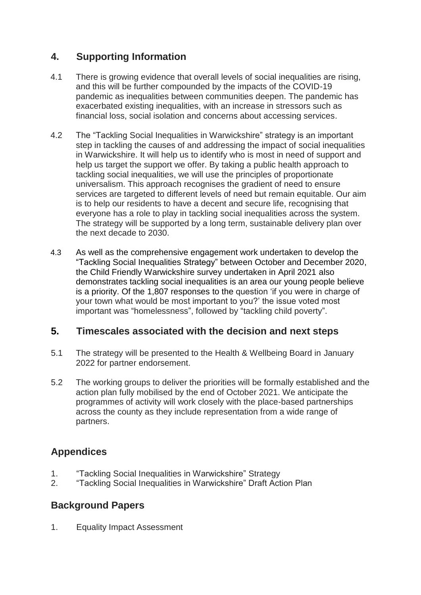## **4. Supporting Information**

- 4.1 There is growing evidence that overall levels of social inequalities are rising, and this will be further compounded by the impacts of the COVID-19 pandemic as inequalities between communities deepen. The pandemic has exacerbated existing inequalities, with an increase in stressors such as financial loss, social isolation and concerns about accessing services.
- 4.2 The "Tackling Social Inequalities in Warwickshire" strategy is an important step in tackling the causes of and addressing the impact of social inequalities in Warwickshire. It will help us to identify who is most in need of support and help us target the support we offer. By taking a public health approach to tackling social inequalities, we will use the principles of proportionate universalism. This approach recognises the gradient of need to ensure services are targeted to different levels of need but remain equitable. Our aim is to help our residents to have a decent and secure life, recognising that everyone has a role to play in tackling social inequalities across the system. The strategy will be supported by a long term, sustainable delivery plan over the next decade to 2030.
- 4.3 As well as the comprehensive engagement work undertaken to develop the "Tackling Social Inequalities Strategy" between October and December 2020, the Child Friendly Warwickshire survey undertaken in April 2021 also demonstrates tackling social inequalities is an area our young people believe is a priority. Of the 1,807 responses to the question 'if you were in charge of your town what would be most important to you?' the issue voted most important was "homelessness", followed by "tackling child poverty".

#### **5. Timescales associated with the decision and next steps**

- 5.1 The strategy will be presented to the Health & Wellbeing Board in January 2022 for partner endorsement.
- 5.2 The working groups to deliver the priorities will be formally established and the action plan fully mobilised by the end of October 2021. We anticipate the programmes of activity will work closely with the place-based partnerships across the county as they include representation from a wide range of partners.

### **Appendices**

- 1. "Tackling Social Inequalities in Warwickshire" Strategy
- 2. "Tackling Social Inequalities in Warwickshire" Draft Action Plan

## **Background Papers**

1. Equality Impact Assessment